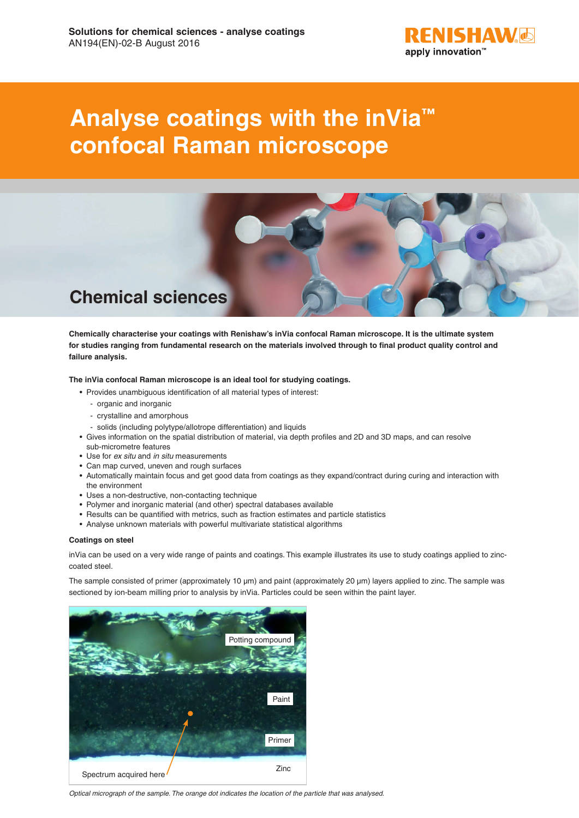

# **Analyse coatings with the inVia™ confocal Raman microscope**



**Chemically characterise your coatings with Renishaw's inVia confocal Raman microscope. It is the ultimate system for studies ranging from fundamental research on the materials involved through to final product quality control and failure analysis.** 

**The inVia confocal Raman microscope is an ideal tool for studying coatings.**

- Provides unambiguous identification of all material types of interest:
	- organic and inorganic
	- crystalline and amorphous
	- solids (including polytype/allotrope differentiation) and liquids
- Gives information on the spatial distribution of material, via depth profiles and 2D and 3D maps, and can resolve
- sub-micrometre features
- Use for *ex situ* and *in situ* measurements
- Can map curved, uneven and rough surfaces
- Automatically maintain focus and get good data from coatings as they expand/contract during curing and interaction with the environment
- Uses a non-destructive, non-contacting technique
- Polymer and inorganic material (and other) spectral databases available
- Results can be quantified with metrics, such as fraction estimates and particle statistics
- Analyse unknown materials with powerful multivariate statistical algorithms

#### **Coatings on steel**

inVia can be used on a very wide range of paints and coatings. This example illustrates its use to study coatings applied to zinccoated steel.

The sample consisted of primer (approximately 10 µm) and paint (approximately 20 µm) layers applied to zinc. The sample was sectioned by ion-beam milling prior to analysis by inVia. Particles could be seen within the paint layer.



*Optical micrograph of the sample. The orange dot indicates the location of the particle that was analysed.*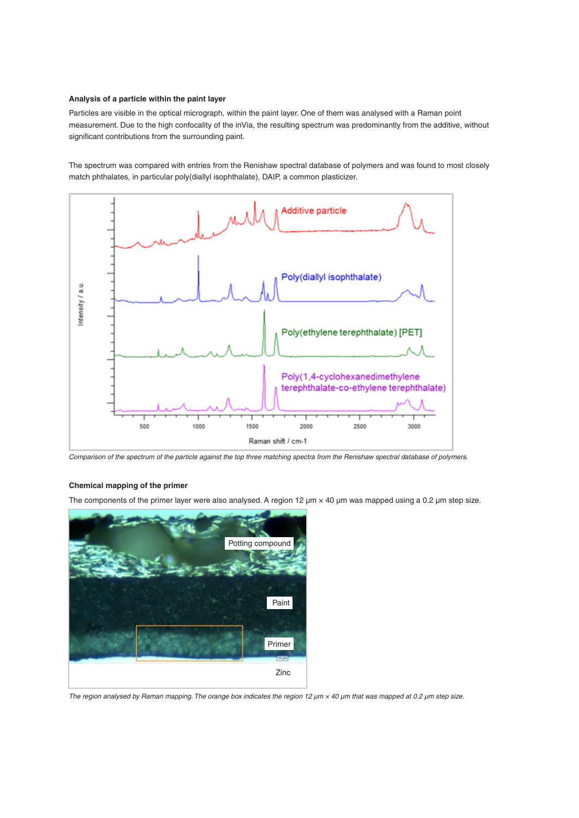## **Analysis of a particle within the paint layer**

Particles are visible in the optical micrograph, within the paint layer. One of them was analysed with a Raman point measurement. Due to the high confocality of the inVia, the resulting spectrum was predominantly from the additive, without significant contributions from the surrounding paint.

The spectrum was compared with entries from the Renishaw spectral database of polymers and was found to most closely match phthalates, in particular poly(diallyl isophthalate), DAIP, a common plasticizer.



*Comparison of the spectrum of the particle against the top three matching spectra from the Renishaw spectral database of polymers.*

## **Chemical mapping of the primer**

The components of the primer layer were also analysed. A region 12  $\mu$ m  $\times$  40  $\mu$ m was mapped using a 0.2  $\mu$ m step size.



*The region analysed by Raman mapping. The orange box indicates the region 12 µm × 40 µm that was mapped at 0.2 µm step size.*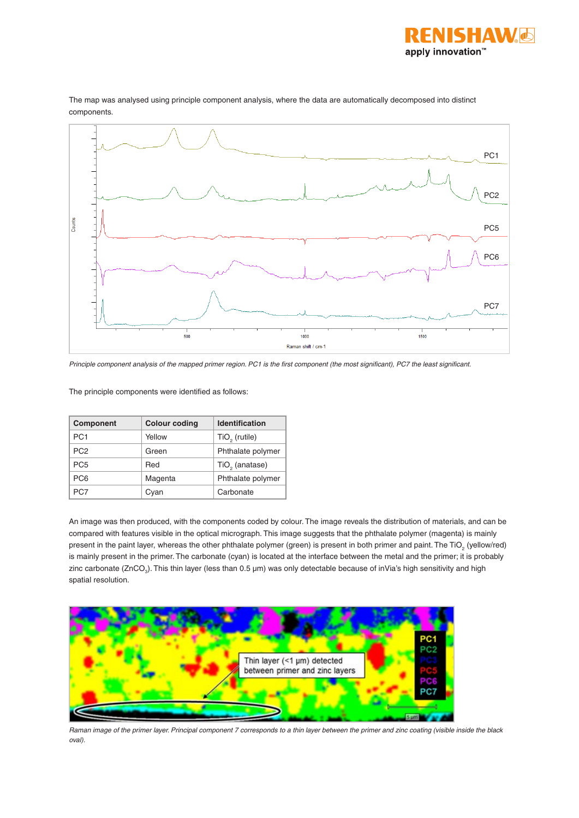



The map was analysed using principle component analysis, where the data are automatically decomposed into distinct components.

*Principle component analysis of the mapped primer region. PC1 is the first component (the most significant), PC7 the least significant.*

The principle components were identified as follows:

| <b>Component</b> | <b>Colour coding</b> | <b>Identification</b>      |
|------------------|----------------------|----------------------------|
| PC <sub>1</sub>  | Yellow               | $TiO2$ (rutile)            |
| PC <sub>2</sub>  | Green                | Phthalate polymer          |
| PC <sub>5</sub>  | Red                  | TiO <sub>2</sub> (anatase) |
| PC <sub>6</sub>  | Magenta              | Phthalate polymer          |
| PC7              | Cvan                 | Carbonate                  |

An image was then produced, with the components coded by colour. The image reveals the distribution of materials, and can be compared with features visible in the optical micrograph. This image suggests that the phthalate polymer (magenta) is mainly present in the paint layer, whereas the other phthalate polymer (green) is present in both primer and paint. The TiO<sub>2</sub> (yellow/red) is mainly present in the primer. The carbonate (cyan) is located at the interface between the metal and the primer; it is probably zinc carbonate (ZnCO<sub>3</sub>). This thin layer (less than 0.5 µm) was only detectable because of inVia's high sensitivity and high spatial resolution.



*Raman image of the primer layer. Principal component 7 corresponds to a thin layer between the primer and zinc coating (visible inside the black oval).*